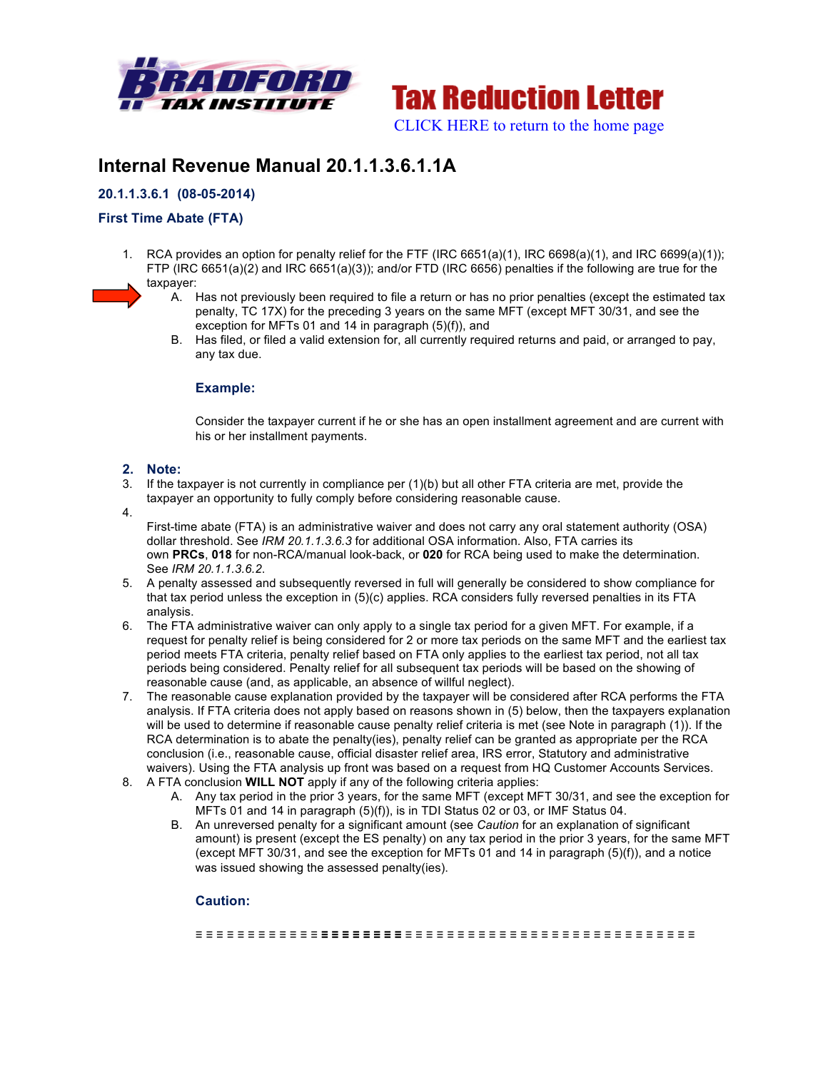



# **Internal Revenue Manual 20.1.1.3.6.1.1A**

## **20.1.1.3.6.1 (08-05-2014)**

## **First Time Abate (FTA)**

- 1. RCA provides an option for penalty relief for the FTF (IRC 6651(a)(1), IRC 6698(a)(1), and IRC 6699(a)(1)); FTP (IRC 6651(a)(2) and IRC 6651(a)(3)); and/or FTD (IRC 6656) penalties if the following are true for the taxpayer:
	- A. Has not previously been required to file a return or has no prior penalties (except the estimated tax penalty, TC 17X) for the preceding 3 years on the same MFT (except MFT 30/31, and see the exception for MFTs 01 and 14 in paragraph (5)(f)), and
	- B. Has filed, or filed a valid extension for, all currently required returns and paid, or arranged to pay, any tax due.

### **Example:**

Consider the taxpayer current if he or she has an open installment agreement and are current with his or her installment payments.

## **2. Note:**

- 3. If the taxpayer is not currently in compliance per (1)(b) but all other FTA criteria are met, provide the taxpayer an opportunity to fully comply before considering reasonable cause.
- 4.

First-time abate (FTA) is an administrative waiver and does not carry any oral statement authority (OSA) dollar threshold. See *IRM 20.1.1.3.6.3* for additional OSA information. Also, FTA carries its own **PRCs**, **018** for non-RCA/manual look-back, or **020** for RCA being used to make the determination. See *IRM 20.1.1.3.6.2*.

- 5. A penalty assessed and subsequently reversed in full will generally be considered to show compliance for that tax period unless the exception in (5)(c) applies. RCA considers fully reversed penalties in its FTA analysis.
- 6. The FTA administrative waiver can only apply to a single tax period for a given MFT. For example, if a request for penalty relief is being considered for 2 or more tax periods on the same MFT and the earliest tax period meets FTA criteria, penalty relief based on FTA only applies to the earliest tax period, not all tax periods being considered. Penalty relief for all subsequent tax periods will be based on the showing of reasonable cause (and, as applicable, an absence of willful neglect).
- 7. The reasonable cause explanation provided by the taxpayer will be considered after RCA performs the FTA analysis. If FTA criteria does not apply based on reasons shown in (5) below, then the taxpayers explanation will be used to determine if reasonable cause penalty relief criteria is met (see Note in paragraph (1)). If the RCA determination is to abate the penalty(ies), penalty relief can be granted as appropriate per the RCA conclusion (i.e., reasonable cause, official disaster relief area, IRS error, Statutory and administrative waivers). Using the FTA analysis up front was based on a request from HQ Customer Accounts Services.
- 8. A FTA conclusion **WILL NOT** apply if any of the following criteria applies:
	- A. Any tax period in the prior 3 years, for the same MFT (except MFT 30/31, and see the exception for MFTs 01 and 14 in paragraph (5)(f)), is in TDI Status 02 or 03, or IMF Status 04.
	- B. An unreversed penalty for a significant amount (see *Caution* for an explanation of significant amount) is present (except the ES penalty) on any tax period in the prior 3 years, for the same MFT (except MFT 30/31, and see the exception for MFTs 01 and 14 in paragraph (5)(f)), and a notice was issued showing the assessed penalty(ies).

## **Caution:**

≡ ≡ ≡ ≡ ≡ ≡ ≡ ≡ ≡ ≡ ≡ ≡ **≡ ≡ ≡ ≡ ≡ ≡ ≡ ≡** ≡ ≡ ≡ ≡ ≡ ≡ ≡ ≡ ≡ ≡ ≡ ≡ ≡ ≡ ≡ ≡ ≡ ≡ ≡ ≡ ≡ ≡ ≡ ≡ ≡ ≡ ≡ ≡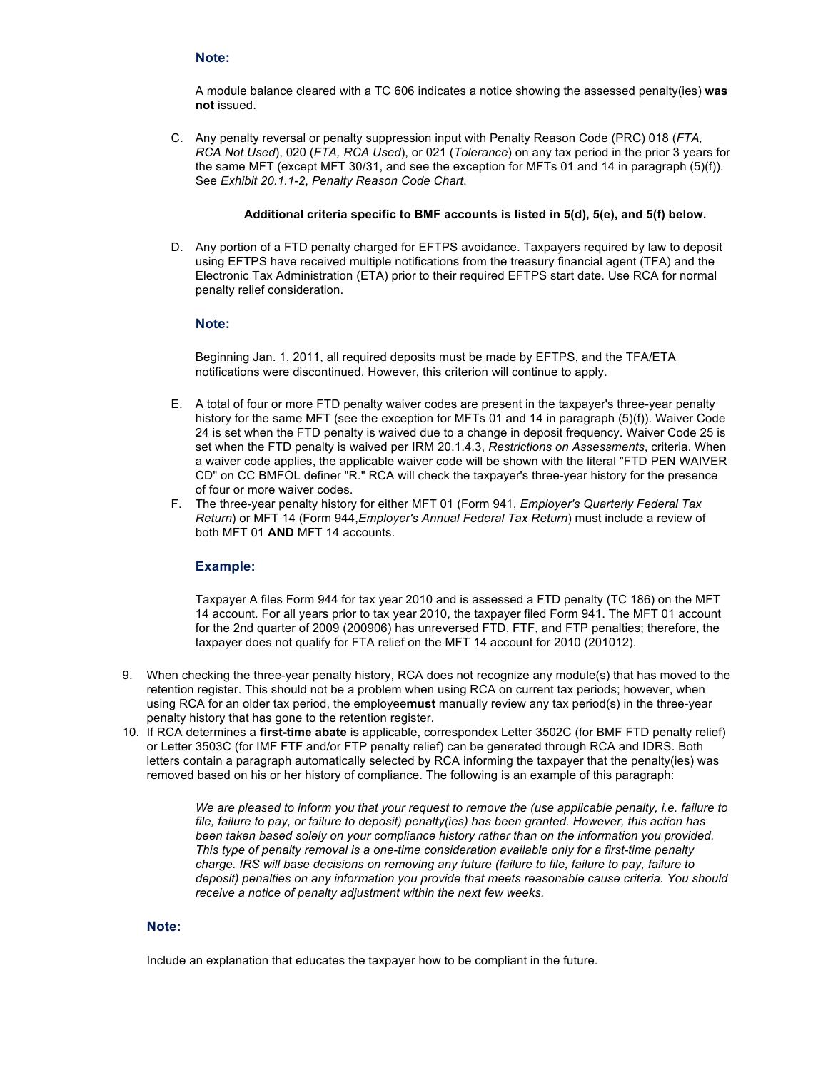#### **Note:**

A module balance cleared with a TC 606 indicates a notice showing the assessed penalty(ies) **was not** issued.

C. Any penalty reversal or penalty suppression input with Penalty Reason Code (PRC) 018 (*FTA, RCA Not Used*), 020 (*FTA, RCA Used*), or 021 (*Tolerance*) on any tax period in the prior 3 years for the same MFT (except MFT 30/31, and see the exception for MFTs 01 and 14 in paragraph (5)(f)). See *Exhibit 20.1.1-2*, *Penalty Reason Code Chart*.

#### **Additional criteria specific to BMF accounts is listed in 5(d), 5(e), and 5(f) below.**

D. Any portion of a FTD penalty charged for EFTPS avoidance. Taxpayers required by law to deposit using EFTPS have received multiple notifications from the treasury financial agent (TFA) and the Electronic Tax Administration (ETA) prior to their required EFTPS start date. Use RCA for normal penalty relief consideration.

#### **Note:**

Beginning Jan. 1, 2011, all required deposits must be made by EFTPS, and the TFA/ETA notifications were discontinued. However, this criterion will continue to apply.

- E. A total of four or more FTD penalty waiver codes are present in the taxpayer's three-year penalty history for the same MFT (see the exception for MFTs 01 and 14 in paragraph (5)(f)). Waiver Code 24 is set when the FTD penalty is waived due to a change in deposit frequency. Waiver Code 25 is set when the FTD penalty is waived per IRM 20.1.4.3, *Restrictions on Assessments*, criteria. When a waiver code applies, the applicable waiver code will be shown with the literal "FTD PEN WAIVER CD" on CC BMFOL definer "R." RCA will check the taxpayer's three-year history for the presence of four or more waiver codes.
- F. The three-year penalty history for either MFT 01 (Form 941, *Employer's Quarterly Federal Tax Return*) or MFT 14 (Form 944,*Employer's Annual Federal Tax Return*) must include a review of both MFT 01 **AND** MFT 14 accounts.

## **Example:**

Taxpayer A files Form 944 for tax year 2010 and is assessed a FTD penalty (TC 186) on the MFT 14 account. For all years prior to tax year 2010, the taxpayer filed Form 941. The MFT 01 account for the 2nd quarter of 2009 (200906) has unreversed FTD, FTF, and FTP penalties; therefore, the taxpayer does not qualify for FTA relief on the MFT 14 account for 2010 (201012).

- 9. When checking the three-year penalty history, RCA does not recognize any module(s) that has moved to the retention register. This should not be a problem when using RCA on current tax periods; however, when using RCA for an older tax period, the employee**must** manually review any tax period(s) in the three-year penalty history that has gone to the retention register.
- 10. If RCA determines a **first-time abate** is applicable, correspondex Letter 3502C (for BMF FTD penalty relief) or Letter 3503C (for IMF FTF and/or FTP penalty relief) can be generated through RCA and IDRS. Both letters contain a paragraph automatically selected by RCA informing the taxpayer that the penalty(ies) was removed based on his or her history of compliance. The following is an example of this paragraph:

*We are pleased to inform you that your request to remove the (use applicable penalty, i.e. failure to file, failure to pay, or failure to deposit) penalty(ies) has been granted. However, this action has been taken based solely on your compliance history rather than on the information you provided. This type of penalty removal is a one-time consideration available only for a first-time penalty charge. IRS will base decisions on removing any future (failure to file, failure to pay, failure to deposit) penalties on any information you provide that meets reasonable cause criteria. You should receive a notice of penalty adjustment within the next few weeks.*

#### **Note:**

Include an explanation that educates the taxpayer how to be compliant in the future.